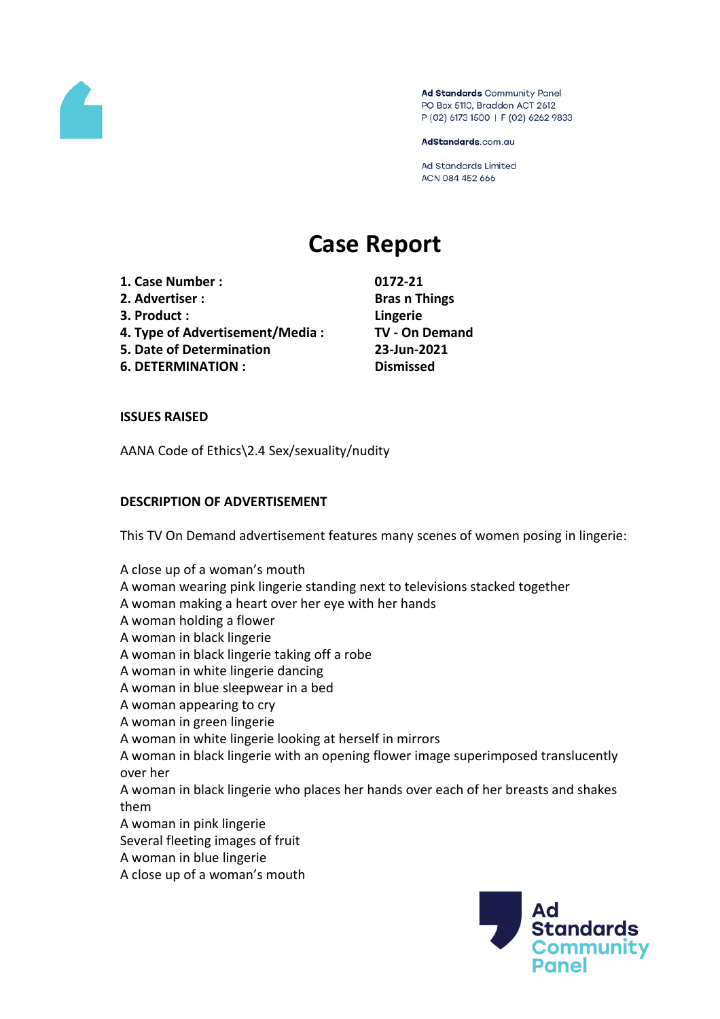

Ad Standards Community Panel PO Box 5110, Braddon ACT 2612 P (02) 6173 1500 | F (02) 6262 9833

AdStandards.com.au

**Ad Standards Limited** ACN 084 452 666

# **Case Report**

- **1. Case Number : 0172-21**
- **2. Advertiser : Bras n Things**
- **3. Product : Lingerie**
- **4. Type of Advertisement/Media : TV - On Demand**
- **5. Date of Determination 23-Jun-2021**
- **6. DETERMINATION : Dismissed**

# **ISSUES RAISED**

AANA Code of Ethics\2.4 Sex/sexuality/nudity

# **DESCRIPTION OF ADVERTISEMENT**

This TV On Demand advertisement features many scenes of women posing in lingerie:

A close up of a woman's mouth A woman wearing pink lingerie standing next to televisions stacked together A woman making a heart over her eye with her hands A woman holding a flower A woman in black lingerie A woman in black lingerie taking off a robe A woman in white lingerie dancing

- 
- A woman in blue sleepwear in a bed
- A woman appearing to cry
- A woman in green lingerie
- A woman in white lingerie looking at herself in mirrors

A woman in black lingerie with an opening flower image superimposed translucently over her

A woman in black lingerie who places her hands over each of her breasts and shakes them

- A woman in pink lingerie
- Several fleeting images of fruit
- A woman in blue lingerie
- A close up of a woman's mouth

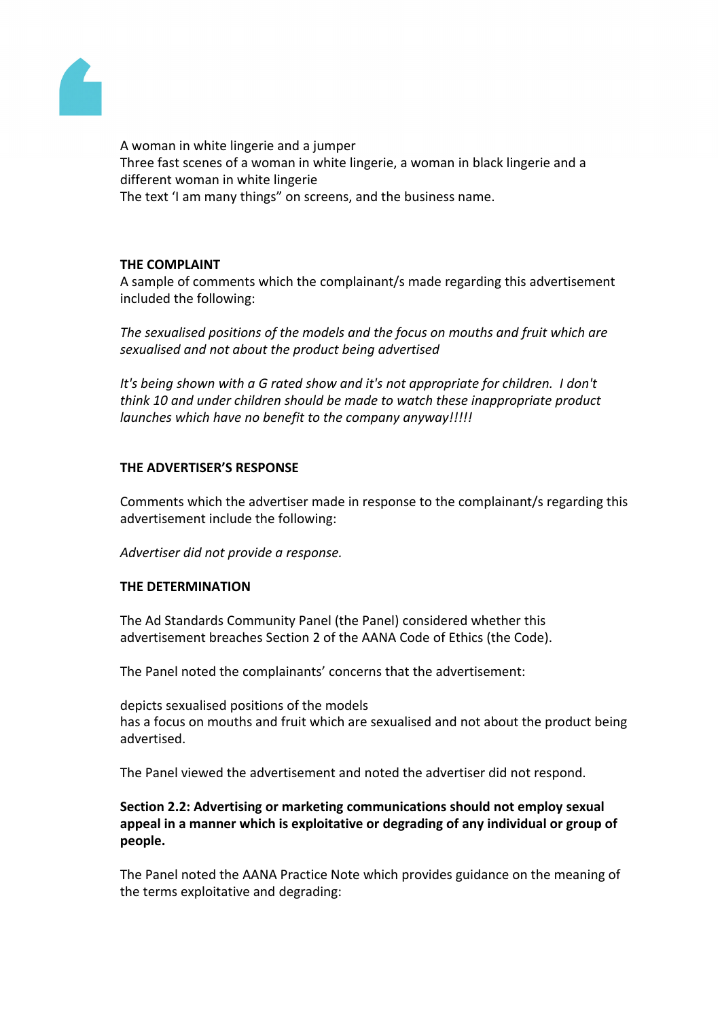

A woman in white lingerie and a jumper Three fast scenes of a woman in white lingerie, a woman in black lingerie and a different woman in white lingerie The text 'I am many things" on screens, and the business name.

# **THE COMPLAINT**

A sample of comments which the complainant/s made regarding this advertisement included the following:

*The sexualised positions of the models and the focus on mouths and fruit which are sexualised and not about the product being advertised*

*It's being shown with a G rated show and it's not appropriate for children. I don't think 10 and under children should be made to watch these inappropriate product launches which have no benefit to the company anyway!!!!!*

## **THE ADVERTISER'S RESPONSE**

Comments which the advertiser made in response to the complainant/s regarding this advertisement include the following:

*Advertiser did not provide a response.*

## **THE DETERMINATION**

The Ad Standards Community Panel (the Panel) considered whether this advertisement breaches Section 2 of the AANA Code of Ethics (the Code).

The Panel noted the complainants' concerns that the advertisement:

depicts sexualised positions of the models has a focus on mouths and fruit which are sexualised and not about the product being advertised.

The Panel viewed the advertisement and noted the advertiser did not respond.

# **Section 2.2: Advertising or marketing communications should not employ sexual appeal in a manner which is exploitative or degrading of any individual or group of people.**

The Panel noted the AANA Practice Note which provides guidance on the meaning of the terms exploitative and degrading: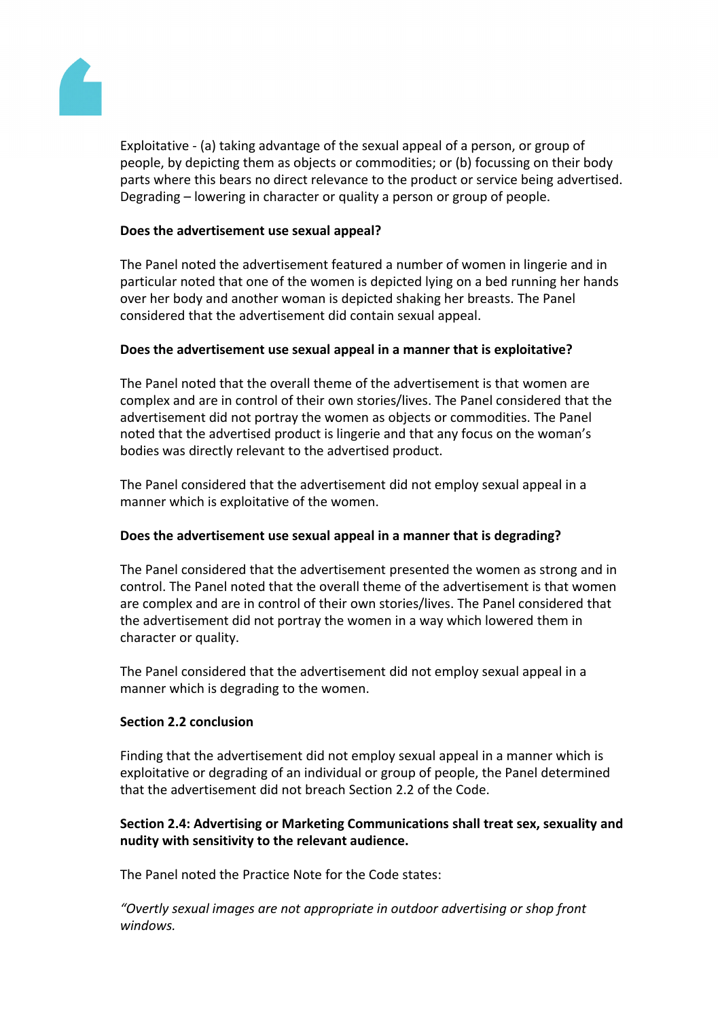

Exploitative - (a) taking advantage of the sexual appeal of a person, or group of people, by depicting them as objects or commodities; or (b) focussing on their body parts where this bears no direct relevance to the product or service being advertised. Degrading – lowering in character or quality a person or group of people.

# **Does the advertisement use sexual appeal?**

The Panel noted the advertisement featured a number of women in lingerie and in particular noted that one of the women is depicted lying on a bed running her hands over her body and another woman is depicted shaking her breasts. The Panel considered that the advertisement did contain sexual appeal.

# **Does the advertisement use sexual appeal in a manner that is exploitative?**

The Panel noted that the overall theme of the advertisement is that women are complex and are in control of their own stories/lives. The Panel considered that the advertisement did not portray the women as objects or commodities. The Panel noted that the advertised product is lingerie and that any focus on the woman's bodies was directly relevant to the advertised product.

The Panel considered that the advertisement did not employ sexual appeal in a manner which is exploitative of the women.

# **Does the advertisement use sexual appeal in a manner that is degrading?**

The Panel considered that the advertisement presented the women as strong and in control. The Panel noted that the overall theme of the advertisement is that women are complex and are in control of their own stories/lives. The Panel considered that the advertisement did not portray the women in a way which lowered them in character or quality.

The Panel considered that the advertisement did not employ sexual appeal in a manner which is degrading to the women.

## **Section 2.2 conclusion**

Finding that the advertisement did not employ sexual appeal in a manner which is exploitative or degrading of an individual or group of people, the Panel determined that the advertisement did not breach Section 2.2 of the Code.

# **Section 2.4: Advertising or Marketing Communications shall treat sex, sexuality and nudity with sensitivity to the relevant audience.**

The Panel noted the Practice Note for the Code states:

*"Overtly sexual images are not appropriate in outdoor advertising or shop front windows.*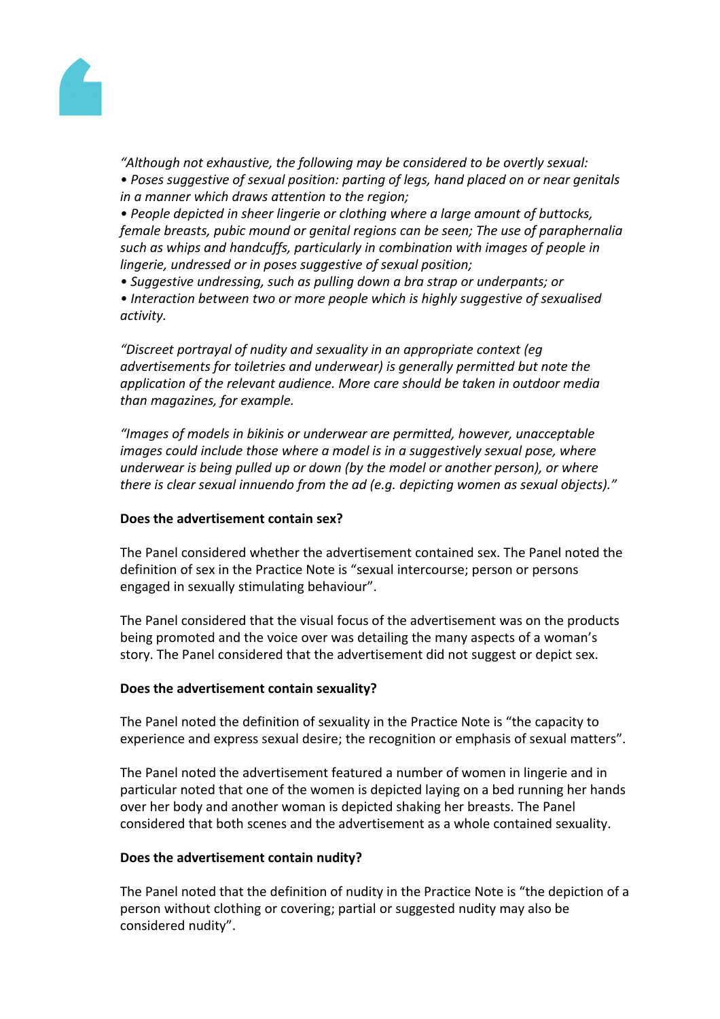

*"Although not exhaustive, the following may be considered to be overtly sexual: • Poses suggestive of sexual position: parting of legs, hand placed on or near genitals in a manner which draws attention to the region;*

*• People depicted in sheer lingerie or clothing where a large amount of buttocks, female breasts, pubic mound or genital regions can be seen; The use of paraphernalia such as whips and handcuffs, particularly in combination with images of people in lingerie, undressed or in poses suggestive of sexual position;*

*• Suggestive undressing, such as pulling down a bra strap or underpants; or • Interaction between two or more people which is highly suggestive of sexualised activity.*

*"Discreet portrayal of nudity and sexuality in an appropriate context (eg advertisements for toiletries and underwear) is generally permitted but note the application of the relevant audience. More care should be taken in outdoor media than magazines, for example.*

*"Images of models in bikinis or underwear are permitted, however, unacceptable images could include those where a model is in a suggestively sexual pose, where underwear is being pulled up or down (by the model or another person), or where there is clear sexual innuendo from the ad (e.g. depicting women as sexual objects)."*

## **Does the advertisement contain sex?**

The Panel considered whether the advertisement contained sex. The Panel noted the definition of sex in the Practice Note is "sexual intercourse; person or persons engaged in sexually stimulating behaviour".

The Panel considered that the visual focus of the advertisement was on the products being promoted and the voice over was detailing the many aspects of a woman's story. The Panel considered that the advertisement did not suggest or depict sex.

## **Does the advertisement contain sexuality?**

The Panel noted the definition of sexuality in the Practice Note is "the capacity to experience and express sexual desire; the recognition or emphasis of sexual matters".

The Panel noted the advertisement featured a number of women in lingerie and in particular noted that one of the women is depicted laying on a bed running her hands over her body and another woman is depicted shaking her breasts. The Panel considered that both scenes and the advertisement as a whole contained sexuality.

## **Does the advertisement contain nudity?**

The Panel noted that the definition of nudity in the Practice Note is "the depiction of a person without clothing or covering; partial or suggested nudity may also be considered nudity".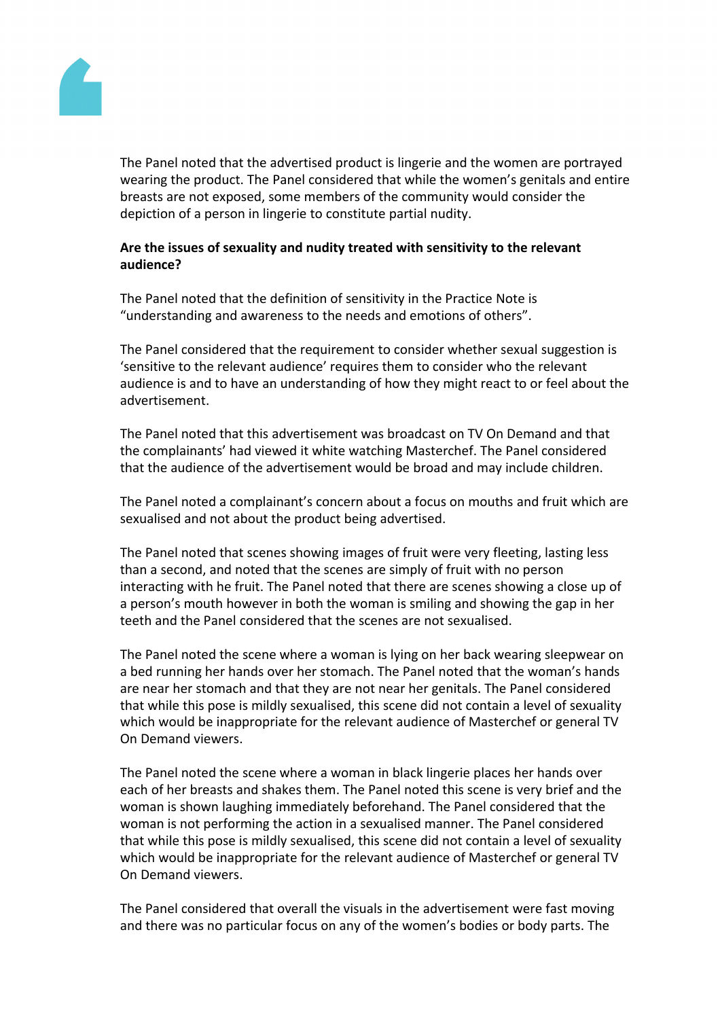

The Panel noted that the advertised product is lingerie and the women are portrayed wearing the product. The Panel considered that while the women's genitals and entire breasts are not exposed, some members of the community would consider the depiction of a person in lingerie to constitute partial nudity.

# **Are the issues of sexuality and nudity treated with sensitivity to the relevant audience?**

The Panel noted that the definition of sensitivity in the Practice Note is "understanding and awareness to the needs and emotions of others".

The Panel considered that the requirement to consider whether sexual suggestion is 'sensitive to the relevant audience' requires them to consider who the relevant audience is and to have an understanding of how they might react to or feel about the advertisement.

The Panel noted that this advertisement was broadcast on TV On Demand and that the complainants' had viewed it white watching Masterchef. The Panel considered that the audience of the advertisement would be broad and may include children.

The Panel noted a complainant's concern about a focus on mouths and fruit which are sexualised and not about the product being advertised.

The Panel noted that scenes showing images of fruit were very fleeting, lasting less than a second, and noted that the scenes are simply of fruit with no person interacting with he fruit. The Panel noted that there are scenes showing a close up of a person's mouth however in both the woman is smiling and showing the gap in her teeth and the Panel considered that the scenes are not sexualised.

The Panel noted the scene where a woman is lying on her back wearing sleepwear on a bed running her hands over her stomach. The Panel noted that the woman's hands are near her stomach and that they are not near her genitals. The Panel considered that while this pose is mildly sexualised, this scene did not contain a level of sexuality which would be inappropriate for the relevant audience of Masterchef or general TV On Demand viewers.

The Panel noted the scene where a woman in black lingerie places her hands over each of her breasts and shakes them. The Panel noted this scene is very brief and the woman is shown laughing immediately beforehand. The Panel considered that the woman is not performing the action in a sexualised manner. The Panel considered that while this pose is mildly sexualised, this scene did not contain a level of sexuality which would be inappropriate for the relevant audience of Masterchef or general TV On Demand viewers.

The Panel considered that overall the visuals in the advertisement were fast moving and there was no particular focus on any of the women's bodies or body parts. The